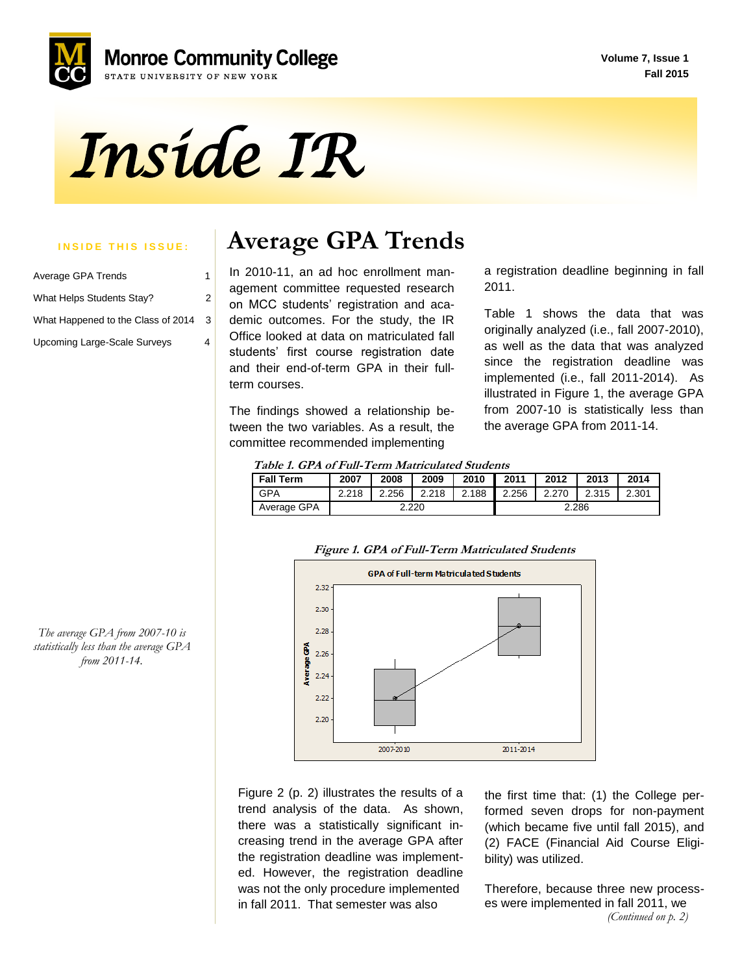**Volume 7, Issue 1 Fall 2015**



*Inside IR* 

| Average GPA Trends                 | 1 |
|------------------------------------|---|
| What Helps Students Stay?          | 2 |
| What Happened to the Class of 2014 | 3 |
| Upcoming Large-Scale Surveys       |   |

# **INSIDE THIS ISSUE:** Average GPA Trends

 students' first course registration date In 2010-11, an ad hoc enrollment management committee requested research on MCC students' registration and academic outcomes. For the study, the IR Office looked at data on matriculated fall and their end-of-term GPA in their fullterm courses.

The findings showed a relationship between the two variables. As a result, the committee recommended implementing

a registration deadline beginning in fall 2011.

Table 1 shows the data that was originally analyzed (i.e., fall 2007-2010), as well as the data that was analyzed since the registration deadline was implemented (i.e., fall 2011-2014). As illustrated in Figure 1, the average GPA from 2007-10 is statistically less than the average GPA from 2011-14.

| <b>Fall Term</b> | 2007  | 2008  | 2009  | 2010  | 2011  | 2012  | 2013  | 2014  |
|------------------|-------|-------|-------|-------|-------|-------|-------|-------|
| <b>GPA</b>       | 2.218 | 2.256 | 2.218 | 2.188 | 2.256 | 2.270 | 2.315 | 2.301 |
| Average GPA      | 2.220 |       |       | 2.286 |       |       |       |       |

#### **Figure 1. GPA of Full-Term Matriculated Students**



Figure 2 (p. 2) illustrates the results of a trend analysis of the data. As shown, there was a statistically significant increasing trend in the average GPA after the registration deadline was implemented. However, the registration deadline was not the only procedure implemented in fall 2011. That semester was also

the first time that: (1) the College performed seven drops for non-payment (which became five until fall 2015), and (2) FACE (Financial Aid Course Eligibility) was utilized.

Therefore, because three new processes were implemented in fall 2011, we *(Continued on p. 2)*

*The average GPA from 2007-10 is statistically less than the average GPA from 2011-14.*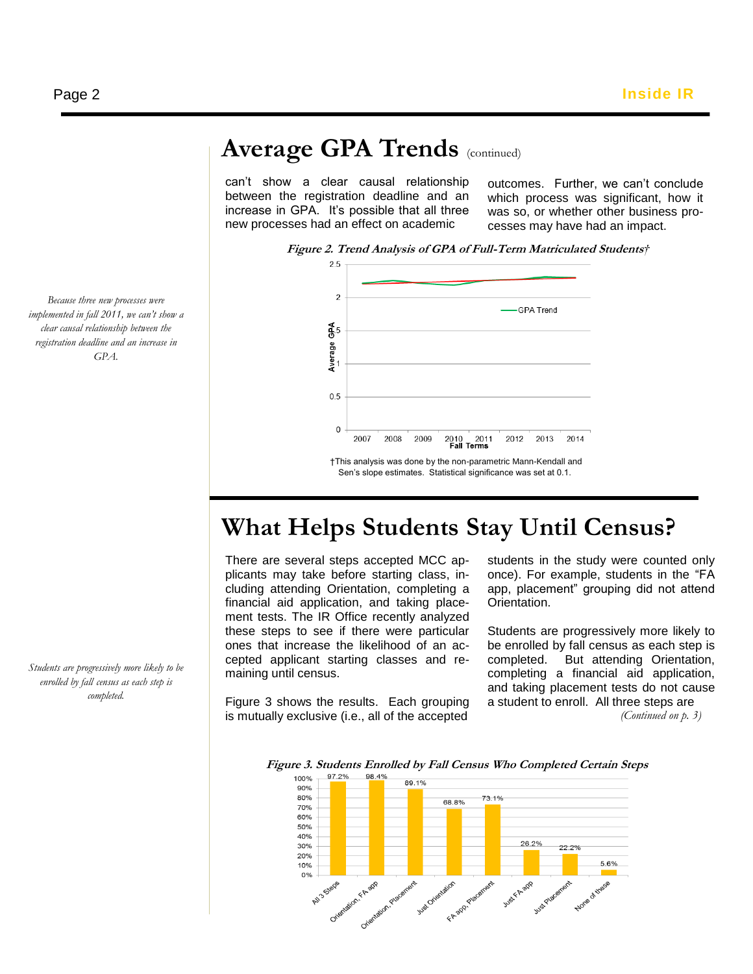# Average GPA Trends (continued)

can't show a clear causal relationship between the registration deadline and an increase in GPA. It's possible that all three new processes had an effect on academic

outcomes. Further, we can't conclude which process was significant, how it was so, or whether other business processes may have had an impact.



#### *Because three new processes were implemented in fall 2011, we can't show a clear causal relationship between the registration deadline and an increase in GPA.*

*Students are progressively more likely to be enrolled by fall census as each step is completed.*

**What Helps Students Stay Until Census?**

There are several steps accepted MCC applicants may take before starting class, including attending Orientation, completing a financial aid application, and taking placement tests. The IR Office recently analyzed these steps to see if there were particular ones that increase the likelihood of an accepted applicant starting classes and remaining until census.

Figure 3 shows the results. Each grouping is mutually exclusive (i.e., all of the accepted

students in the study were counted only once). For example, students in the "FA app, placement" grouping did not attend Orientation.

Students are progressively more likely to be enrolled by fall census as each step is completed. But attending Orientation, completing a financial aid application, and taking placement tests do not cause a student to enroll. All three steps are

 *(Continued on p. 3)*

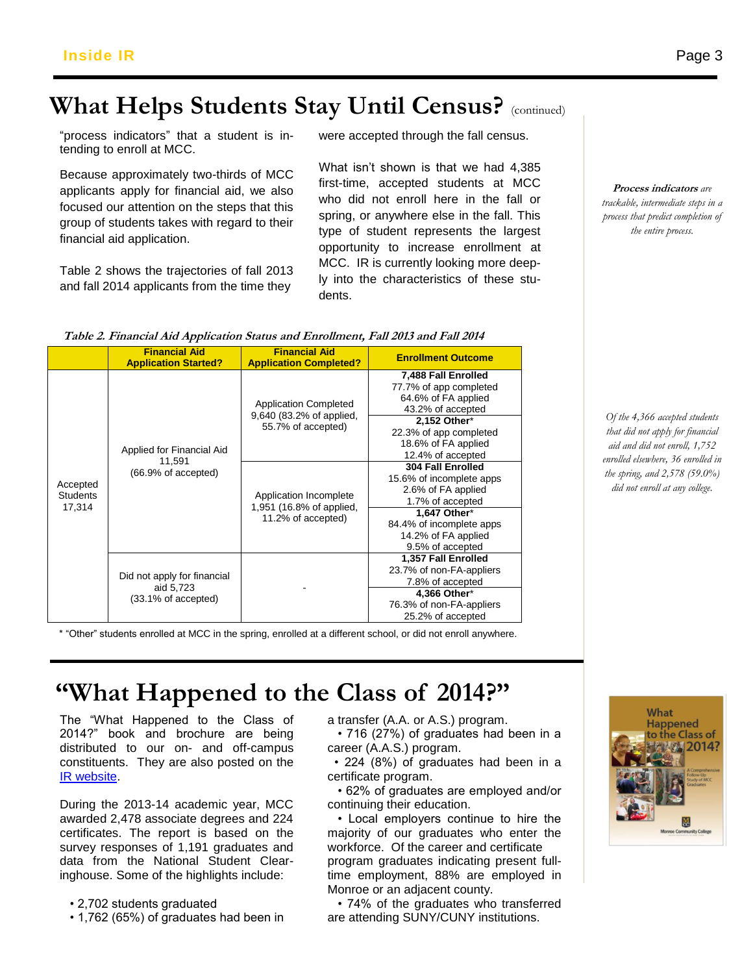# **What Helps Students Stay Until Census?** (continued)

"process indicators" that a student is intending to enroll at MCC.

applicants apply for financial aid, we also focused our attention on the steps that this group of students takes with regard to their financial aid application.

Table 2 shows the trajectories of fall 2013 and fall 2014 applicants from the time they

were accepted through the fall census.

tending to chien at MOO.<br>Because approximately two-thirds of MCC **What isn't shown is that we had** What isn't shown is that we had 4,385 first-time, accepted students at MCC who did not enroll here in the fall or spring, or anywhere else in the fall. This type of student represents the largest opportunity to increase enrollment at MCC. IR is currently looking more deeply into the characteristics of these students.

**Process indicators** *are trackable, intermediate steps in a process that predict completion of the entire process.*

*Of the 4,366 accepted students that did not apply for financial aid and did not enroll, 1,752 enrolled elsewhere, 36 enrolled in the spring, and 2,578 (59.0%) did not enroll at any college.*

| Table 2. Financial Aid Application Status and Enrollment, Fall 2013 and Fall 2014 |  |
|-----------------------------------------------------------------------------------|--|
|-----------------------------------------------------------------------------------|--|

|                                       | <b>Financial Aid</b><br><b>Application Started?</b>             | <b>Financial Aid</b><br><b>Application Completed?</b>                                                                                                      | <b>Enrollment Outcome</b>                                                                                                                                                                                                                                                                                                                                         |
|---------------------------------------|-----------------------------------------------------------------|------------------------------------------------------------------------------------------------------------------------------------------------------------|-------------------------------------------------------------------------------------------------------------------------------------------------------------------------------------------------------------------------------------------------------------------------------------------------------------------------------------------------------------------|
| Accepted<br><b>Students</b><br>17,314 | Applied for Financial Aid<br>11.591<br>(66.9% of accepted)      | <b>Application Completed</b><br>9,640 (83.2% of applied,<br>55.7% of accepted)<br>Application Incomplete<br>1,951 (16.8% of applied,<br>11.2% of accepted) | 7,488 Fall Enrolled<br>77.7% of app completed<br>64.6% of FA applied<br>43.2% of accepted<br>2,152 Other*<br>22.3% of app completed<br>18.6% of FA applied<br>12.4% of accepted<br>304 Fall Enrolled<br>15.6% of incomplete apps<br>2.6% of FA applied<br>1.7% of accepted<br>1,647 Other*<br>84.4% of incomplete apps<br>14.2% of FA applied<br>9.5% of accepted |
|                                       | Did not apply for financial<br>aid 5,723<br>(33.1% of accepted) |                                                                                                                                                            | 1,357 Fall Enrolled<br>23.7% of non-FA-appliers<br>7.8% of accepted<br>4,366 Other*<br>76.3% of non-FA-appliers<br>25.2% of accepted                                                                                                                                                                                                                              |

\* "Other" students enrolled at MCC in the spring, enrolled at a different school, or did not enroll anywhere.

# **"What Happened to the Class of 2014?"**

The "What Happened to the Class of 2014?" book and brochure are being distributed to our on- and off-campus constituents. They are also posted on the [IR website.](http://www.monroecc.edu/depts/research/classof.htm)

During the 2013-14 academic year, MCC awarded 2,478 associate degrees and 224 certificates. The report is based on the survey responses of 1,191 graduates and data from the National Student Clearinghouse. Some of the highlights include:

• 2,702 students graduated

• 1,762 (65%) of graduates had been in

a transfer (A.A. or A.S.) program.

 • 716 (27%) of graduates had been in a career (A.A.S.) program.

 • 224 (8%) of graduates had been in a certificate program.

 • 62% of graduates are employed and/or continuing their education.

 • Local employers continue to hire the majority of our graduates who enter the workforce. Of the career and certificate program graduates indicating present fulltime employment, 88% are employed in Monroe or an adjacent county.

 • 74% of the graduates who transferred are attending SUNY/CUNY institutions.